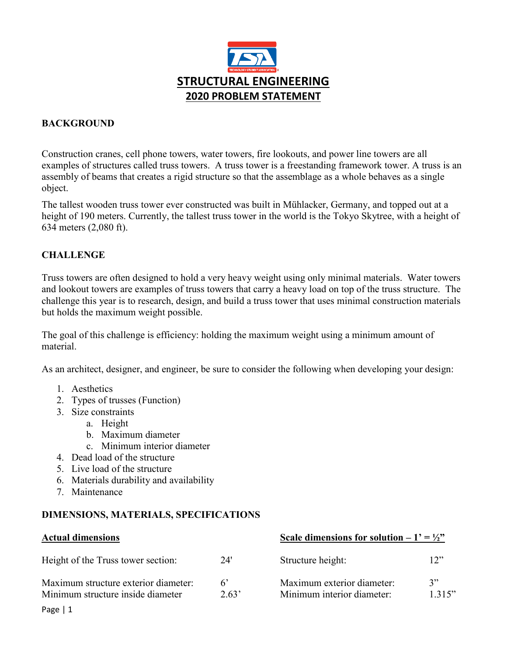

# **BACKGROUND**

Construction cranes, cell phone towers, water towers, fire lookouts, and power line towers are all examples of structures called truss towers. A truss tower is a freestanding [framework](https://en.wikipedia.org/wiki/Latticework) [tower.](https://en.wikipedia.org/wiki/Tower) A truss is an assembly of beams that creates a rigid structure so that the assemblage as a whole behaves as a single object.

The tallest wooden truss tower ever constructed was built in [Mühlacker,](https://en.wikipedia.org/wiki/Transmitter_M%C3%BChlacker) Germany, and topped out at a height of 190 meters. Currently, the tallest truss tower in the world is the [Tokyo Skytree,](https://en.wikipedia.org/wiki/Tokyo_Skytree) with a height of 634 meters (2,080 ft).

# **CHALLENGE**

Truss towers are often designed to hold a very heavy weight using only minimal materials. Water towers and lookout towers are examples of truss towers that carry a heavy load on top of the truss structure. The challenge this year is to research, design, and build a truss tower that uses minimal construction materials but holds the maximum weight possible.

The goal of this challenge is efficiency: holding the maximum weight using a minimum amount of material.

As an architect, designer, and engineer, be sure to consider the following when developing your design:

- 1. Aesthetics
- 2. Types of trusses (Function)
- 3. Size constraints
	- a. Height
	- b. Maximum diameter
	- c. Minimum interior diameter
- 4. Dead load of the structure
- 5. Live load of the structure
- 6. Materials durability and availability
- 7. Maintenance

## **DIMENSIONS, MATERIALS, SPECIFICATIONS**

| <b>Actual dimensions</b>                                                  |                      | Scale dimensions for solution $-1' = \frac{1}{2}$        |              |
|---------------------------------------------------------------------------|----------------------|----------------------------------------------------------|--------------|
| Height of the Truss tower section:                                        | 24'                  | Structure height:                                        | 12           |
| Maximum structure exterior diameter:<br>Minimum structure inside diameter | $6^{\circ}$<br>2.63' | Maximum exterior diameter:<br>Minimum interior diameter: | 3"<br>1.315" |
|                                                                           |                      |                                                          |              |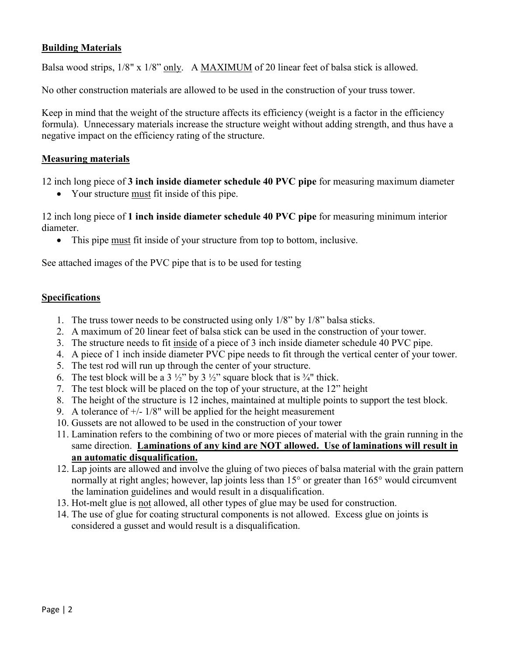## **Building Materials**

Balsa wood strips,  $1/8$ " x  $1/8$ " only. A MAXIMUM of 20 linear feet of balsa stick is allowed.

No other construction materials are allowed to be used in the construction of your truss tower.

Keep in mind that the weight of the structure affects its efficiency (weight is a factor in the efficiency formula). Unnecessary materials increase the structure weight without adding strength, and thus have a negative impact on the efficiency rating of the structure.

## **Measuring materials**

12 inch long piece of **3 inch inside diameter schedule 40 PVC pipe** for measuring maximum diameter

• Your structure must fit inside of this pipe.

12 inch long piece of **1 inch inside diameter schedule 40 PVC pipe** for measuring minimum interior diameter.

• This pipe must fit inside of your structure from top to bottom, inclusive.

See attached images of the PVC pipe that is to be used for testing

#### **Specifications**

- 1. The truss tower needs to be constructed using only 1/8" by 1/8" balsa sticks.
- 2. A maximum of 20 linear feet of balsa stick can be used in the construction of your tower.
- 3. The structure needs to fit inside of a piece of 3 inch inside diameter schedule 40 PVC pipe.
- 4. A piece of 1 inch inside diameter PVC pipe needs to fit through the vertical center of your tower.
- 5. The test rod will run up through the center of your structure.
- 6. The test block will be a 3  $\frac{1}{2}$ " by 3  $\frac{1}{2}$ " square block that is  $\frac{3}{4}$ " thick.
- 7. The test block will be placed on the top of your structure, at the 12" height
- 8. The height of the structure is 12 inches, maintained at multiple points to support the test block.
- 9. A tolerance of  $+/- 1/8$ " will be applied for the height measurement
- 10. Gussets are not allowed to be used in the construction of your tower
- 11. Lamination refers to the combining of two or more pieces of material with the grain running in the same direction. **Laminations of any kind are NOT allowed. Use of laminations will result in an automatic disqualification.**
- 12. Lap joints are allowed and involve the gluing of two pieces of balsa material with the grain pattern normally at right angles; however, lap joints less than 15<sup>°</sup> or greater than 165<sup>°</sup> would circumvent the lamination guidelines and would result in a disqualification.
- 13. Hot-melt glue is not allowed, all other types of glue may be used for construction.
- 14. The use of glue for coating structural components is not allowed. Excess glue on joints is considered a gusset and would result is a disqualification.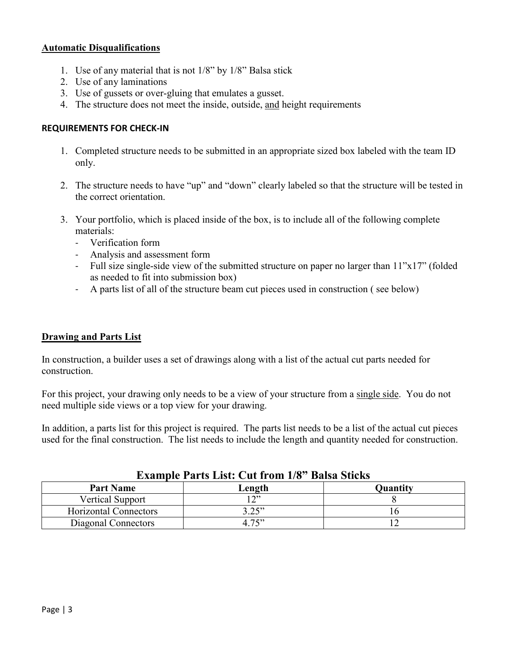## **Automatic Disqualifications**

- 1. Use of any material that is not 1/8" by 1/8" Balsa stick
- 2. Use of any laminations
- 3. Use of gussets or over-gluing that emulates a gusset.
- 4. The structure does not meet the inside, outside, and height requirements

## **REQUIREMENTS FOR CHECK-IN**

- 1. Completed structure needs to be submitted in an appropriate sized box labeled with the team ID only.
- 2. The structure needs to have "up" and "down" clearly labeled so that the structure will be tested in the correct orientation.
- 3. Your portfolio, which is placed inside of the box, is to include all of the following complete materials:
	- Verification form
	- Analysis and assessment form
	- Full size single-side view of the submitted structure on paper no larger than 11"x17" (folded as needed to fit into submission box)
	- A parts list of all of the structure beam cut pieces used in construction ( see below)

## **Drawing and Parts List**

In construction, a builder uses a set of drawings along with a list of the actual cut parts needed for construction.

For this project, your drawing only needs to be a view of your structure from a single side. You do not need multiple side views or a top view for your drawing.

In addition, a parts list for this project is required. The parts list needs to be a list of the actual cut pieces used for the final construction. The list needs to include the length and quantity needed for construction.

| <b>Example I ally List.</b> Cut II 0111 1/0 Daisa Bucks |        |                 |  |
|---------------------------------------------------------|--------|-----------------|--|
| <b>Part Name</b>                                        | Length | <b>Quantity</b> |  |
| <b>Vertical Support</b>                                 | ານ     |                 |  |
| Horizontal Connectors                                   | 3.25"  |                 |  |
| Diagonal Connectors                                     | 4.75   |                 |  |

# **Example Parts List: Cut from 1/8" Balsa Sticks**